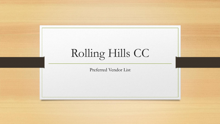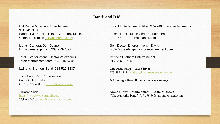## **Bands and DJS**

914-241-3300 Bands, DJs, Cocktail Hour/Ceremony Music James Daniel Music and Entertainment Contact: Jill Teich [\(jill@halprince.com](mailto:jill@halprince.com)) 203 744 1122 jamesdaniel.com

Lights, Camera, DJ - Duane Spin Doctor Entertainment – David

Total Entertainment -Hector Velazaquez Perrone Brothers Entertainment Totalentertainment.com 732-616-5748 914 -237 -5214

LaBlanc Brothers Band 914-525-3337 **The Party Shop - Addie Silver**

Hank Lane - Kevin Osborne Band C: 212-767-0600 E: [hellis@hanklane.com](mailto:hellis@hanklane.com)

Melanie Jackson [mel@elementmusic.com](mailto:mel@elementmusic.com)

Hal Prince Music and Entertainment Tony T Entertainment 917-337-2740 tonytentertainment.com

Lightscameradjs.com 203-283-7892 203-743-9944 spindoctorentertainment.com

973-585-6512 [addie@silverproentertainment.com](mailto:addie@silverproentertainment.com)

Contact: Harlan Ellis **NY Swing – Roof Raisers www.nycswing.com**

Element Music **Around Town Entertainment – Adam Michaels** [https://www.elementmusic.com](https://www.elementmusic.com/) "The Authority Band" 917-679-8636 aroundtownent.com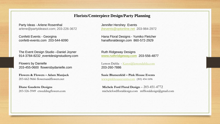#### **Florists/Centerpiece Design/Party Planning**

Party Ideas - Arlene Rosenthal Jennifer Hershey Events arlene@partyideasct.com; 203-226-3672 [jhevents@optonline.net](mailto:jhevents@optonline.net) 203-984-2972

The Event Design Studio – Daniel Joyner Ruth Ridgeway Designs 914-3784-8232 eventdesignstudiony.com **[www.ruthridgeway.com](http://www.ruthridgeway.com/)** 203-556-4877

Flowers by Danielle Lemon Dahlia - [Karen@lemondahlia.com](mailto:Karen@lemondahlia.com) 203-455-0600 flowersbydanielle.com 203-260-7886

**Flowers & Flowers – Adam Manjuck Susie Blumenfeld – Pink House Events** 

Confetti Events - Georgina **Hana Floral Designs - Yumiko Fletcher** confetti-events.com 203-544-6090 hanafloraldesign.com 860-572-2929

203-662-9666 flowersandflowers.net [www.pinkhouseevents.com](http://www.pinkhouseevents.com/) (203) 454-1696

**Diane Gaudette Designs** Michele Ford Floral Design – 203-451-4772 203-526-5949 ctweddingflowers.com michelefordfloraldesign.com mffloraldesign@gmail.com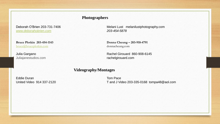# **Photographers**

*[www.deborahobrien.com](http://www.deborahobrien.com/) 203-454-5878*

[bruce@bruceplotkin.com](mailto:bruce@bruceplotkin.com) donnacheung.com

Juliajanestudios.com rachelgirouard.com

Deborah O'Brien 203-731-7406 Melani Lust melanilustphotography.com

**Bruce Plotkin 203-454-1143 Donna Cheung – 203-918-4791** 

Julia Gargano Rachel Girouard 860-908-6145

**Videography/Montages**

Eddie Duran Tom Pace

United Video 914 337-2120 T and J Video 203-335-0168 tompa48@aol.com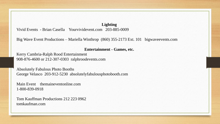**Lighting**

Vivid Events - Brian Casella Yourvividevent.com 203-885-0009

Big Wave Event Productions – Mariella Winthrop (860) 355-2173 Ext. 101 bigwaveevents.com

#### **Entertainment - Games, etc.**

Kerry Cambria-Ralph Rood Entertainment 908-876-4600 or 212-307-0303 ralphroodevents.com

Absolutely Fabulous Photo Booths George Velasco 203-912-5230 absolutelyfabulousphotobooth.com

Main Event themaineventonline.com 1-800-839-0918

Tom Kauffman Productions 212 223 0962 tomkaufman.com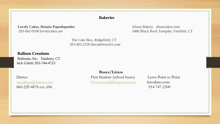# **Bakeries**

# **Lovely Cakes, Renata Papadopoulos** Alinas Bakery alinascakes.com

The Cake Box, Ridgefield, CT 203.403.2558 thecakeboxofct.com

**Balloon Creations** 

Balloons, Etc. Danbury, CT Jack Gilotti 203-744-4723

860-229-4878 ext. 696 914-747-2300

**Buses/Limos** Dattco First Student (school buses) Leros Point to Point [weddings@dattco.com](mailto:weddings@dattco.com) [firstcharter@firstgroup.com](mailto:firstcharter@firstgroup.com) leroslimo.com

203-842-0500 lovelycakes.net 2480 Black Rock Turnpike, Fairfield, CT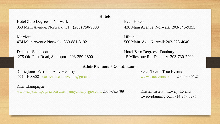Hotel Zero Degrees – Norwalk Even Hotels 353 Main Avenue, Norwalk, CT (203) 750-9800 426 Main Avenue, Norwalk 203-846-9355

Marriott Hilton 474 Main Avenue Norwalk 860-881-3192 560 Main Ave, Norwalk 203-523-4040

Delamar Southport Hotel Zero Degrees - Danbury 275 Old Post Road, Southport 203-259-2800 15 Milestone Rd, Danbury 203-730-7200

#### **Affair Planners / Coordinators**

Corie Jones Verron – Amy Hardisty Sarah True – True Events 561.310.0682 [corie.whitehallevents@gmail.com](mailto:corie.whitehallevents@gmail.com) [www.trueevents.com](http://www.trueevents.com/) 203-530-5127

Amy Champagne

[www.amychampagne.com](http://www.amychampagne.com/)  $\frac{amv(\omega)}{a}$ amychampagne.com 203.908.5788 Kristen Estela – Lovely Events

lovelyplanning.com 914-269-8296

# **Hotels**